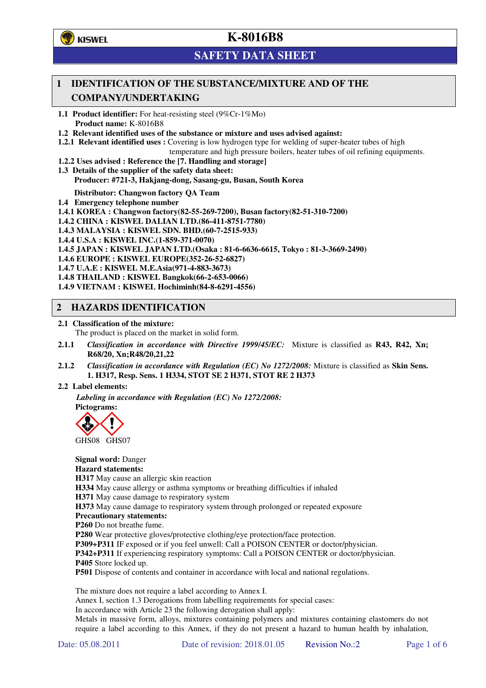

# **SAFETY DATA SHEET**

# **1 IDENTIFICATION OF THE SUBSTANCE/MIXTURE AND OF THE COMPANY/UNDERTAKING**

**1.1 Product identifier:** For heat-resisting steel (9%Cr-1%Mo) **Product name:** K-8016B8

**1.2 Relevant identified uses of the substance or mixture and uses advised against:**

**1.2.1 Relevant identified uses :** Covering is low hydrogen type for welding of super-heater tubes of high

temperature and high pressure boilers, heater tubes of oil refining equipments.

**1.2.2 Uses advised : Reference the [7. Handling and storage]** 

**1.3 Details of the supplier of the safety data sheet: Producer: #721-3, Hakjang-dong, Sasang-gu, Busan, South Korea** 

**Distributor: Changwon factory QA Team** 

**1.4 Emergency telephone number**

**1.4.1 KOREA : Changwon factory(82-55-269-7200), Busan factory(82-51-310-7200)** 

**1.4.2 CHINA : KISWEL DALIAN LTD.(86-411-8751-7780)** 

**1.4.3 MALAYSIA : KISWEL SDN. BHD.(60-7-2515-933)** 

**1.4.4 U.S.A : KISWEL INC.(1-859-371-0070)** 

**1.4.5 JAPAN : KISWEL JAPAN LTD.(Osaka : 81-6-6636-6615, Tokyo : 81-3-3669-2490)** 

**1.4.6 EUROPE : KISWEL EUROPE(352-26-52-6827)** 

**1.4.7 U.A.E : KISWEL M.E.Asia(971-4-883-3673)** 

**1.4.8 THAILAND : KISWEL Bangkok(66-2-653-0066)** 

**1.4.9 VIETNAM : KISWEL Hochiminh(84-8-6291-4556)** 

## **2 HAZARDS IDENTIFICATION**

**2.1 Classification of the mixture:** 

The product is placed on the market in solid form.

- **2.1.1** *Classification in accordance with Directive 1999/45/EC:* Mixture is classified as **R43, R42, Xn; R68/20, Xn;R48/20,21,22**
- **2.1.2** *Classification in accordance with Regulation (EC) No 1272/2008:* Mixture is classified as **Skin Sens. 1. H317, Resp. Sens. 1 H334, STOT SE 2 H371, STOT RE 2 H373**

#### **2.2 Label elements:**

*Labeling in accordance with Regulation (EC) No 1272/2008:*  **Pictograms:** 



GHS08 GHS07

**Signal word:** Danger **Hazard statements: H317** May cause an allergic skin reaction **H334** May cause allergy or asthma symptoms or breathing difficulties if inhaled **H371** May cause damage to respiratory system **H373** May cause damage to respiratory system through prolonged or repeated exposure **Precautionary statements: P260** Do not breathe fume. **P280** Wear protective gloves/protective clothing/eye protection/face protection. **P309+P311** IF exposed or if you feel unwell: Call a POISON CENTER or doctor/physician. **P342+P311** If experiencing respiratory symptoms: Call a POISON CENTER or doctor/physician.

**P405** Store locked up.

**P501** Dispose of contents and container in accordance with local and national regulations.

The mixture does not require a label according to Annex I.

Annex I, section 1.3 Derogations from labelling requirements for special cases:

In accordance with Article 23 the following derogation shall apply:

Metals in massive form, alloys, mixtures containing polymers and mixtures containing elastomers do not require a label according to this Annex, if they do not present a hazard to human health by inhalation,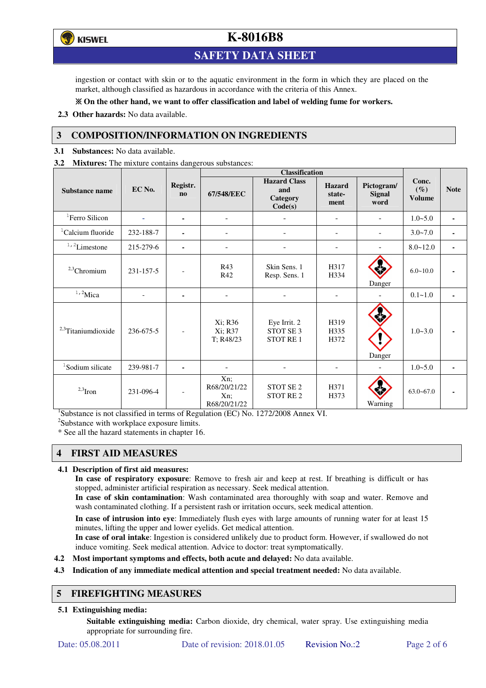**ず) KISWEL** 

# **K-8016B8**

# **SAFETY DATA SHEET**

ingestion or contact with skin or to the aquatic environment in the form in which they are placed on the market, although classified as hazardous in accordance with the criteria of this Annex.

#### **On the other hand, we want to offer classification and label of welding fume for workers.**

**2.3 Other hazards:** No data available.

## **3 COMPOSITION/INFORMATION ON INGREDIENTS**

**3.1 Substances:** No data available.

**3.2 Mixtures:** The mixture contains dangerous substances:

|                                |                |                            | <b>Classification</b>                         |                                                   |                                 |                                     |                                  |                |
|--------------------------------|----------------|----------------------------|-----------------------------------------------|---------------------------------------------------|---------------------------------|-------------------------------------|----------------------------------|----------------|
| <b>Substance name</b>          | EC No.         | Registr.<br>n <sub>0</sub> | 67/548/EEC                                    | <b>Hazard Class</b><br>and<br>Category<br>Code(s) | <b>Hazard</b><br>state-<br>ment | Pictogram/<br><b>Signal</b><br>word | Conc.<br>$(\%)$<br><b>Volume</b> | <b>Note</b>    |
| <sup>1</sup> Ferro Silicon     |                | ۰                          |                                               |                                                   |                                 |                                     | $1.0 - 5.0$                      | $\blacksquare$ |
| <sup>1</sup> Calcium fluoride  | 232-188-7      |                            | $\overline{\phantom{0}}$                      |                                                   | $\overline{\phantom{a}}$        | $\overline{\phantom{a}}$            | $3.0 - 7.0$                      | ٠              |
| $^{\mathrm{1,\,2}}$ Limestone  | 215-279-6      | $\blacksquare$             | $\blacksquare$                                |                                                   | $\blacksquare$                  |                                     | $8.0 - 12.0$                     | ٠              |
| $2,3$ Chromium                 | 231-157-5      |                            | R43<br>R42                                    | Skin Sens. 1<br>Resp. Sens. 1                     | H317<br>H334                    | Danger                              | $6.0 - 10.0$                     |                |
| $1,2$ Mica                     | $\overline{a}$ | $\blacksquare$             | $\overline{\phantom{a}}$                      |                                                   | $\overline{\phantom{a}}$        |                                     | $0.1 - 1.0$                      |                |
| <sup>2,3</sup> Titaniumdioxide | 236-675-5      | $\overline{\phantom{a}}$   | Xi; R36<br>Xi; R37<br>T; R48/23               | Eye Irrit. 2<br>STOT SE 3<br><b>STOT RE1</b>      | H319<br>H335<br>H372            | Danger                              | $1.0 - 3.0$                      |                |
| <sup>1</sup> Sodium silicate   | 239-981-7      |                            |                                               |                                                   |                                 |                                     | $1.0 - 5.0$                      |                |
| $2,3$ Iron                     | 231-096-4      | $\overline{\phantom{a}}$   | Xn;<br>R68/20/21/22<br>$Xn$ ;<br>R68/20/21/22 | STOT SE <sub>2</sub><br><b>STOT RE2</b>           | H371<br>H373                    | Warning                             | $63.0 - 67.0$                    |                |

<sup>1</sup>Substance is not classified in terms of Regulation (EC) No. 1272/2008 Annex VI.

<sup>2</sup>Substance with workplace exposure limits.

\* See all the hazard statements in chapter 16.

## **4 FIRST AID MEASURES**

#### **4.1 Description of first aid measures:**

**In case of respiratory exposure**: Remove to fresh air and keep at rest. If breathing is difficult or has stopped, administer artificial respiration as necessary. Seek medical attention.

**In case of skin contamination**: Wash contaminated area thoroughly with soap and water. Remove and wash contaminated clothing. If a persistent rash or irritation occurs, seek medical attention.

 **In case of intrusion into eye**: Immediately flush eyes with large amounts of running water for at least 15 minutes, lifting the upper and lower eyelids. Get medical attention.

**In case of oral intake**: Ingestion is considered unlikely due to product form. However, if swallowed do not induce vomiting. Seek medical attention. Advice to doctor: treat symptomatically.

**4.2 Most important symptoms and effects, both acute and delayed:** No data available.

**4.3 Indication of any immediate medical attention and special treatment needed:** No data available.

## **5 FIREFIGHTING MEASURES**

#### **5.1 Extinguishing media:**

**Suitable extinguishing media:** Carbon dioxide, dry chemical, water spray. Use extinguishing media appropriate for surrounding fire.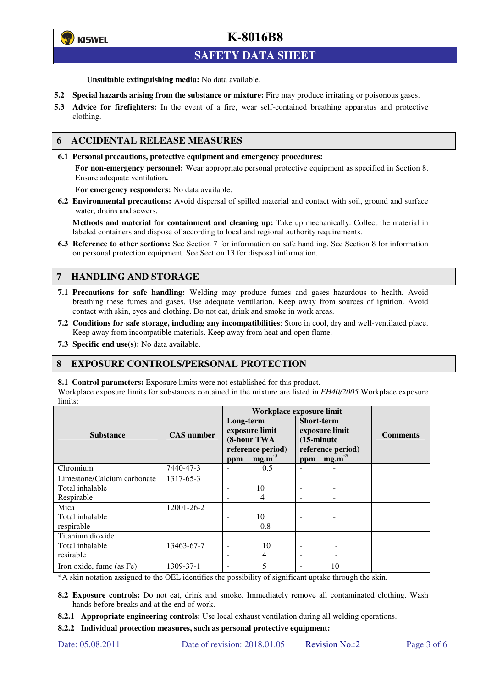

# **SAFETY DATA SHEET**

**Unsuitable extinguishing media:** No data available.

- **5.2 Special hazards arising from the substance or mixture:** Fire may produce irritating or poisonous gases.
- **5.3 Advice for firefighters:** In the event of a fire, wear self-contained breathing apparatus and protective clothing.

### **6 ACCIDENTAL RELEASE MEASURES**

**6.1 Personal precautions, protective equipment and emergency procedures:** 

**For non-emergency personnel:** Wear appropriate personal protective equipment as specified in Section 8. Ensure adequate ventilation**.** 

**For emergency responders:** No data available.

**6.2 Environmental precautions:** Avoid dispersal of spilled material and contact with soil, ground and surface water, drains and sewers.

**Methods and material for containment and cleaning up:** Take up mechanically. Collect the material in labeled containers and dispose of according to local and regional authority requirements.

**6.3 Reference to other sections:** See Section 7 for information on safe handling. See Section 8 for information on personal protection equipment. See Section 13 for disposal information.

## **7 HANDLING AND STORAGE**

- **7.1 Precautions for safe handling:** Welding may produce fumes and gases hazardous to health. Avoid breathing these fumes and gases. Use adequate ventilation. Keep away from sources of ignition. Avoid contact with skin, eyes and clothing. Do not eat, drink and smoke in work areas.
- **7.2 Conditions for safe storage, including any incompatibilities**: Store in cool, dry and well-ventilated place. Keep away from incompatible materials. Keep away from heat and open flame.
- **7.3 Specific end use(s):** No data available.

#### **8 EXPOSURE CONTROLS/PERSONAL PROTECTION**

**8.1 Control parameters:** Exposure limits were not established for this product.

Workplace exposure limits for substances contained in the mixture are listed in *EH40/2005* Workplace exposure limits:

|                             |                   | Workplace exposure limit                                                           |     |                                                                                                              |    |                 |  |
|-----------------------------|-------------------|------------------------------------------------------------------------------------|-----|--------------------------------------------------------------------------------------------------------------|----|-----------------|--|
| <b>Substance</b>            | <b>CAS</b> number | Long-term<br>exposure limit<br>(8-hour TWA<br>reference period)<br>$mg.m-3$<br>ppm |     | <b>Short-term</b><br>exposure limit<br>$(15\text{-minute})$<br>reference period)<br>mg.m <sup>3</sup><br>ppm |    | <b>Comments</b> |  |
| Chromium                    | 7440-47-3         | $\overline{\phantom{a}}$                                                           | 0.5 | $\equiv$                                                                                                     |    |                 |  |
| Limestone/Calcium carbonate | 1317-65-3         |                                                                                    |     |                                                                                                              |    |                 |  |
| Total inhalable             |                   | ۰                                                                                  | 10  |                                                                                                              |    |                 |  |
| Respirable                  |                   | -                                                                                  | 4   |                                                                                                              |    |                 |  |
| Mica                        | 12001-26-2        |                                                                                    |     |                                                                                                              |    |                 |  |
| Total inhalable             |                   | ۰                                                                                  | 10  |                                                                                                              |    |                 |  |
| respirable                  |                   | -                                                                                  | 0.8 | $\overline{\phantom{a}}$                                                                                     |    |                 |  |
| Titanium dioxide            |                   |                                                                                    |     |                                                                                                              |    |                 |  |
| Total inhalable             | 13463-67-7        | $\overline{\phantom{0}}$                                                           | 10  |                                                                                                              |    |                 |  |
| resirable                   |                   | -                                                                                  | 4   | -                                                                                                            |    |                 |  |
| Iron oxide, fume (as Fe)    | 1309-37-1         | ۰                                                                                  | 5   |                                                                                                              | 10 |                 |  |

\*A skin notation assigned to the OEL identifies the possibility of significant uptake through the skin.

- **8.2 Exposure controls:** Do not eat, drink and smoke. Immediately remove all contaminated clothing. Wash hands before breaks and at the end of work.
- **8.2.1 Appropriate engineering controls:** Use local exhaust ventilation during all welding operations.

**8.2.2 Individual protection measures, such as personal protective equipment:**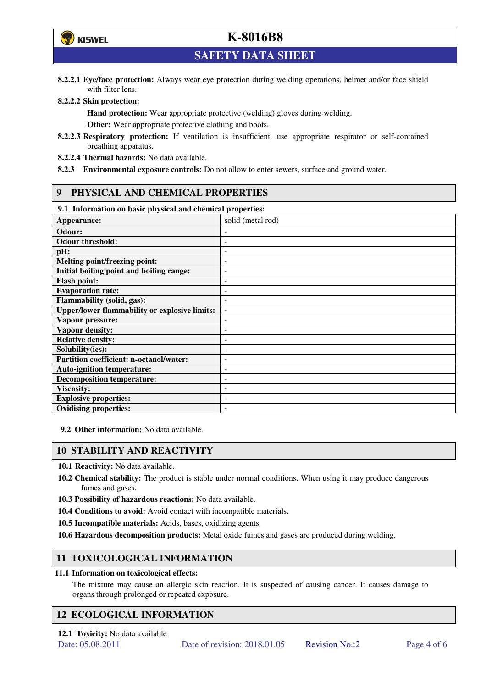

**SAFETY DATA SHEET** 

**8.2.2.1 Eye/face protection:** Always wear eye protection during welding operations, helmet and/or face shield with filter lens.

#### **8.2.2.2 Skin protection:**

**Hand protection:** Wear appropriate protective (welding) gloves during welding. **Other:** Wear appropriate protective clothing and boots.

- **8.2.2.3 Respiratory protection:** If ventilation is insufficient, use appropriate respirator or self-contained breathing apparatus.
- **8.2.2.4 Thermal hazards:** No data available.
- **8.2.3 Environmental exposure controls:** Do not allow to enter sewers, surface and ground water.

## **9 PHYSICAL AND CHEMICAL PROPERTIES**

#### **9.1 Information on basic physical and chemical properties:**

| our amoramunon on ousie physical und encancen properties.<br>Appearance: | solid (metal rod)        |
|--------------------------------------------------------------------------|--------------------------|
| Odour:                                                                   |                          |
| <b>Odour threshold:</b>                                                  |                          |
| pH:                                                                      |                          |
| <b>Melting point/freezing point:</b>                                     | -                        |
| Initial boiling point and boiling range:                                 | $\qquad \qquad -$        |
| <b>Flash point:</b>                                                      |                          |
| <b>Evaporation rate:</b>                                                 |                          |
| <b>Flammability (solid, gas):</b>                                        |                          |
| <b>Upper/lower flammability or explosive limits:</b>                     | $\overline{\phantom{a}}$ |
| Vapour pressure:                                                         | ۰                        |
| Vapour density:                                                          |                          |
| <b>Relative density:</b>                                                 |                          |
| Solubility(ies):                                                         |                          |
| Partition coefficient: n-octanol/water:                                  | $\overline{a}$           |
| <b>Auto-ignition temperature:</b>                                        | -                        |
| <b>Decomposition temperature:</b>                                        |                          |
| <b>Viscosity:</b>                                                        |                          |
| <b>Explosive properties:</b>                                             | ۰                        |
| <b>Oxidising properties:</b>                                             |                          |

**9.2 Other information:** No data available.

## **10 STABILITY AND REACTIVITY**

**10.1 Reactivity:** No data available.

- **10.2 Chemical stability:** The product is stable under normal conditions. When using it may produce dangerous fumes and gases.
- **10.3 Possibility of hazardous reactions:** No data available.
- **10.4 Conditions to avoid:** Avoid contact with incompatible materials.
- **10.5 Incompatible materials:** Acids, bases, oxidizing agents.
- **10.6 Hazardous decomposition products:** Metal oxide fumes and gases are produced during welding.

## **11 TOXICOLOGICAL INFORMATION**

#### **11.1 Information on toxicological effects:**

The mixture may cause an allergic skin reaction. It is suspected of causing cancer. It causes damage to organs through prolonged or repeated exposure.

## **12 ECOLOGICAL INFORMATION**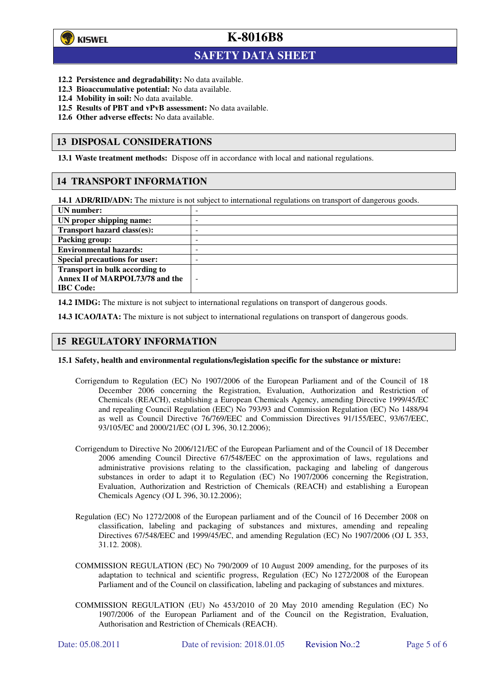

 $\overline{a}$ 

# **K-8016B8**

# **SAFETY DATA SHEET**

- **12.2 Persistence and degradability:** No data available.
- **12.3 Bioaccumulative potential:** No data available.
- **12.4 Mobility in soil:** No data available.
- **12.5 Results of PBT and vPvB assessment:** No data available.
- **12.6 Other adverse effects:** No data available.

### **13 DISPOSAL CONSIDERATIONS**

**13.1 Waste treatment methods:** Dispose off in accordance with local and national regulations.

## **14 TRANSPORT INFORMATION**

**14.1 ADR/RID/ADN:** The mixture is not subject to international regulations on transport of dangerous goods.

| UN number:                            | -                        |
|---------------------------------------|--------------------------|
| UN proper shipping name:              | -                        |
| Transport hazard class(es):           | -                        |
| <b>Packing group:</b>                 | -                        |
| <b>Environmental hazards:</b>         | -                        |
| <b>Special precautions for user:</b>  | -                        |
| <b>Transport in bulk according to</b> |                          |
| Annex II of MARPOL73/78 and the       | $\overline{\phantom{a}}$ |
| <b>IBC</b> Code:                      |                          |

**14.2 IMDG:** The mixture is not subject to international regulations on transport of dangerous goods.

**14.3 ICAO/IATA:** The mixture is not subject to international regulations on transport of dangerous goods.

## **15 REGULATORY INFORMATION**

#### **15.1 Safety, health and environmental regulations/legislation specific for the substance or mixture:**

- Corrigendum to Regulation (EC) No 1907/2006 of the European Parliament and of the Council of 18 December 2006 concerning the Registration, Evaluation, Authorization and Restriction of Chemicals (REACH), establishing a European Chemicals Agency, amending Directive 1999/45/EC and repealing Council Regulation (EEC) No 793/93 and Commission Regulation (EC) No 1488/94 as well as Council Directive 76/769/EEC and Commission Directives 91/155/EEC, 93/67/EEC, 93/105/EC and 2000/21/EC (OJ L 396, 30.12.2006);
- Corrigendum to Directive No 2006/121/EC of the European Parliament and of the Council of 18 December 2006 amending Council Directive 67/548/EEC on the approximation of laws, regulations and administrative provisions relating to the classification, packaging and labeling of dangerous substances in order to adapt it to Regulation (EC) No 1907/2006 concerning the Registration, Evaluation, Authorization and Restriction of Chemicals (REACH) and establishing a European Chemicals Agency (OJ L 396, 30.12.2006);
- Regulation (EC) No 1272/2008 of the European parliament and of the Council of 16 December 2008 on classification, labeling and packaging of substances and mixtures, amending and repealing Directives 67/548/EEC and 1999/45/EC, and amending Regulation (EC) No 1907/2006 (OJ L 353, 31.12. 2008).
- COMMISSION REGULATION (EC) No 790/2009 of 10 August 2009 amending, for the purposes of its adaptation to technical and scientific progress, Regulation (EC) No 1272/2008 of the European Parliament and of the Council on classification, labeling and packaging of substances and mixtures.
- COMMISSION REGULATION (EU) No 453/2010 of 20 May 2010 amending Regulation (EC) No 1907/2006 of the European Parliament and of the Council on the Registration, Evaluation, Authorisation and Restriction of Chemicals (REACH).